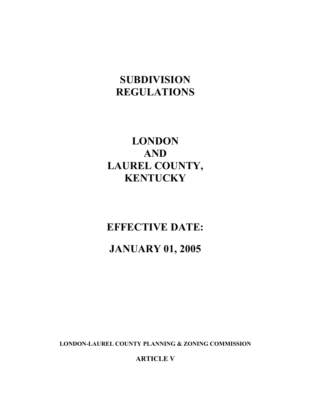# **SUBDIVISION REGULATIONS**

# **LONDON AND LAUREL COUNTY, KENTUCKY**

# **EFFECTIVE DATE:**

# **JANUARY 01, 2005**

**LONDON-LAUREL COUNTY PLANNING & ZONING COMMISSION**

**ARTICLE V**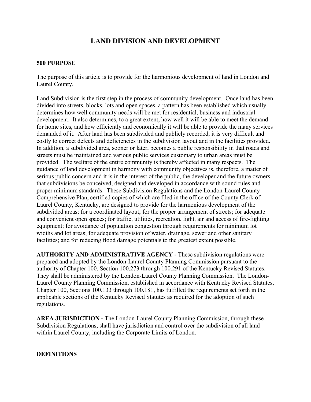# **LAND DIVISION AND DEVELOPMENT**

## **500 PURPOSE**

The purpose of this article is to provide for the harmonious development of land in London and Laurel County.

Land Subdivision is the first step in the process of community development. Once land has been divided into streets, blocks, lots and open spaces, a pattern has been established which usually determines how well community needs will be met for residential, business and industrial development. It also determines, to a great extent, how well it will be able to meet the demand for home sites, and how efficiently and economically it will be able to provide the many services demanded of it. After land has been subdivided and publicly recorded, it is very difficult and costly to correct defects and deficiencies in the subdivision layout and in the facilities provided. In addition, a subdivided area, sooner or later, becomes a public responsibility in that roads and streets must be maintained and various public services customary to urban areas must be provided. The welfare of the entire community is thereby affected in many respects. The guidance of land development in harmony with community objectives is, therefore, a matter of serious public concern and it is in the interest of the public, the developer and the future owners that subdivisions be conceived, designed and developed in accordance with sound rules and proper minimum standards. These Subdivision Regulations and the London-Laurel County Comprehensive Plan, certified copies of which are filed in the office of the County Clerk of Laurel County, Kentucky, are designed to provide for the harmonious development of the subdivided areas; for a coordinated layout; for the proper arrangement of streets; for adequate and convenient open spaces; for traffic, utilities, recreation, light, air and access of fire-fighting equipment; for avoidance of population congestion through requirements for minimum lot widths and lot areas; for adequate provision of water, drainage, sewer and other sanitary facilities; and for reducing flood damage potentials to the greatest extent possible.

**AUTHORITY AND ADMINISTRATIVE AGENCY -** These subdivision regulations were prepared and adopted by the London-Laurel County Planning Commission pursuant to the authority of Chapter 100, Section 100.273 through 100.291 of the Kentucky Revised Statutes. They shall be administered by the London-Laurel County Planning Commission. The London-Laurel County Planning Commission, established in accordance with Kentucky Revised Statutes, Chapter 100, Sections 100.133 through 100.181, has fulfilled the requirements set forth in the applicable sections of the Kentucky Revised Statutes as required for the adoption of such regulations.

**AREA JURISDICTION -** The London-Laurel County Planning Commission, through these Subdivision Regulations, shall have jurisdiction and control over the subdivision of all land within Laurel County, including the Corporate Limits of London.

#### **DEFINITIONS**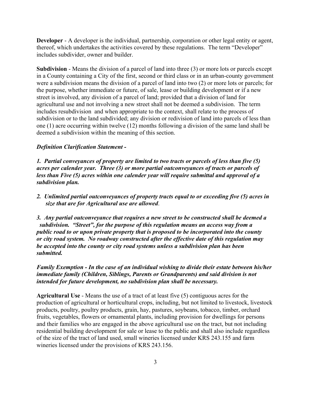**Developer** - A developer is the individual, partnership, corporation or other legal entity or agent, thereof, which undertakes the activities covered by these regulations. The term "Developer" includes subdivider, owner and builder.

**Subdivision** - Means the division of a parcel of land into three (3) or more lots or parcels except in a County containing a City of the first, second or third class or in an urban-county government were a subdivision means the division of a parcel of land into two (2) or more lots or parcels; for the purpose, whether immediate or future, of sale, lease or building development or if a new street is involved, any division of a parcel of land; provided that a division of land for agricultural use and not involving a new street shall not be deemed a subdivision. The term includes resubdivision and when appropriate to the context, shall relate to the process of subdivision or to the land subdivided; any division or redivision of land into parcels of less than one (1) acre occurring within twelve (12) months following a division of the same land shall be deemed a subdivision within the meaning of this section.

#### *Definition Clarification Statement -*

*1. Partial conveyances of property are limited to two tracts or parcels of less than five (5) acres per calender year. Three (3) or more partial outconveyances of tracts or parcels of less than Five (5) acres within one calender year will require submittal and approval of a subdivision plan.*

*2. Unlimited partial outconveyances of property tracts equal to or exceeding five (5) acres in size that are for Agricultural use are allowed*.

*3. Any partial outconveyance that requires a new street to be constructed shall be deemed a subdivision. "Street", for the purpose of this regulation means an access way from a public road to or upon private property that is proposed to be incorporated into the county or city road system. No roadway constructed after the effective date of this regulation may be accepted into the county or city road systems unless a subdivision plan has been submitted.*

*Family Exemption - In the case of an individual wishing to divide their estate between his/her immediate family (Children, Siblings, Parents or Grandparents) and said division is not intended for future development, no subdivision plan shall be necessary.* 

**Agricultural Use** - Means the use of a tract of at least five (5) contiguous acres for the production of agricultural or horticultural crops, including, but not limited to livestock, livestock products, poultry, poultry products, grain, hay, pastures, soybeans, tobacco, timber, orchard fruits, vegetables, flowers or ornamental plants, including provision for dwellings for persons and their families who are engaged in the above agricultural use on the tract, but not including residential building development for sale or lease to the public and shall also include regardless of the size of the tract of land used, small wineries licensed under KRS 243.155 and farm wineries licensed under the provisions of KRS 243.156.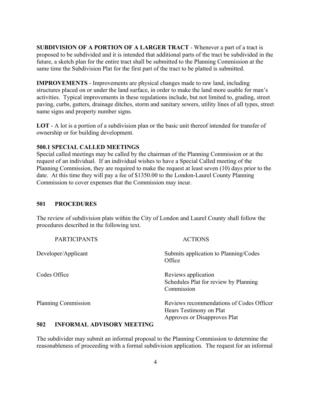**SUBDIVISION OF A PORTION OF A LARGER TRACT** - Whenever a part of a tract is proposed to be subdivided and it is intended that additional parts of the tract be subdivided in the future, a sketch plan for the entire tract shall be submitted to the Planning Commission at the same time the Subdivision Plat for the first part of the tract to be platted is submitted.

**IMPROVEMENTS** - Improvements are physical changes made to raw land, including structures placed on or under the land surface, in order to make the land more usable for man's activities. Typical improvements in these regulations include, but not limited to, grading, street paving, curbs, gutters, drainage ditches, storm and sanitary sewers, utility lines of all types, street name signs and property number signs.

**LOT** - A lot is a portion of a subdivision plan or the basic unit thereof intended for transfer of ownership or for building development.

## **500.1 SPECIAL CALLED MEETINGS**

Special called meetings may be called by the chairman of the Planning Commission or at the request of an individual. If an individual wishes to have a Special Called meeting of the Planning Commission, they are required to make the request at least seven (10) days prior to the date. At this time they will pay a fee of \$1350.00 to the London-Laurel County Planning Commission to cover expenses that the Commission may incur.

## **501 PROCEDURES**

The review of subdivision plats within the City of London and Laurel County shall follow the procedures described in the following text.

| <b>PARTICIPANTS</b>                                                                                                    | <b>ACTIONS</b>                                                                                      |
|------------------------------------------------------------------------------------------------------------------------|-----------------------------------------------------------------------------------------------------|
| Developer/Applicant                                                                                                    | Submits application to Planning/Codes<br>Office                                                     |
| Codes Office                                                                                                           | Reviews application<br>Schedules Plat for review by Planning<br>Commission                          |
| <b>Planning Commission</b>                                                                                             | Reviews recommendations of Codes Officer<br>Hears Testimony on Plat<br>Approves or Disapproves Plat |
| <i>=^^</i><br>INIDADIJI I I<br>$\lambda$ by $\lambda$ $\alpha$ by $\lambda$ $\lambda$ for $\lambda$ $\lambda$ $\alpha$ |                                                                                                     |

#### **502 INFORMAL ADVISORY MEETING**

The subdivider may submit an informal proposal to the Planning Commission to determine the reasonableness of proceeding with a formal subdivision application. The request for an informal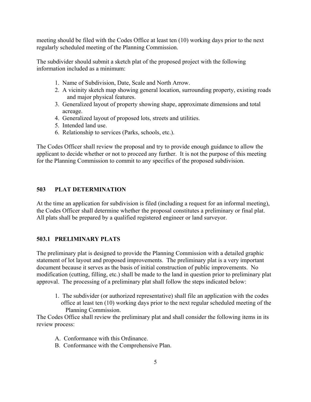meeting should be filed with the Codes Office at least ten (10) working days prior to the next regularly scheduled meeting of the Planning Commission.

The subdivider should submit a sketch plat of the proposed project with the following information included as a minimum:

- 1. Name of Subdivision, Date, Scale and North Arrow.
- 2. A vicinity sketch map showing general location, surrounding property, existing roads and major physical features.
- 3. Generalized layout of property showing shape, approximate dimensions and total acreage.
- 4. Generalized layout of proposed lots, streets and utilities.
- 5. Intended land use.
- 6. Relationship to services (Parks, schools, etc.).

The Codes Officer shall review the proposal and try to provide enough guidance to allow the applicant to decide whether or not to proceed any further. It is not the purpose of this meeting for the Planning Commission to commit to any specifics of the proposed subdivision.

## **503 PLAT DETERMINATION**

At the time an application for subdivision is filed (including a request for an informal meeting), the Codes Officer shall determine whether the proposal constitutes a preliminary or final plat. All plats shall be prepared by a qualified registered engineer or land surveyor.

## **503.1 PRELIMINARY PLATS**

The preliminary plat is designed to provide the Planning Commission with a detailed graphic statement of lot layout and proposed improvements. The preliminary plat is a very important document because it serves as the basis of initial construction of public improvements. No modification (cutting, filling, etc.) shall be made to the land in question prior to preliminary plat approval. The processing of a preliminary plat shall follow the steps indicated below:

1. The subdivider (or authorized representative) shall file an application with the codes office at least ten (10) working days prior to the next regular scheduled meeting of the Planning Commission.

The Codes Office shall review the preliminary plat and shall consider the following items in its review process:

- A. Conformance with this Ordinance.
- B. Conformance with the Comprehensive Plan.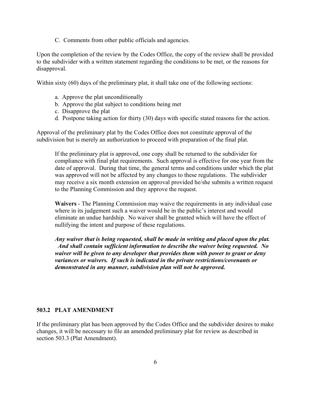C. Comments from other public officials and agencies.

Upon the completion of the review by the Codes Office, the copy of the review shall be provided to the subdivider with a written statement regarding the conditions to be met, or the reasons for disapproval.

Within sixty (60) days of the preliminary plat, it shall take one of the following sections:

- a. Approve the plat unconditionally
- b. Approve the plat subject to conditions being met
- c. Disapprove the plat
- d. Postpone taking action for thirty (30) days with specific stated reasons for the action.

Approval of the preliminary plat by the Codes Office does not constitute approval of the subdivision but is merely an authorization to proceed with preparation of the final plat.

If the preliminary plat is approved, one copy shall be returned to the subdivider for compliance with final plat requirements. Such approval is effective for one year from the date of approval. During that time, the general terms and conditions under which the plat was approved will not be affected by any changes to these regulations. The subdivider may receive a six month extension on approval provided he/she submits a written request to the Planning Commission and they approve the request.

**Waivers** - The Planning Commission may waive the requirements in any individual case where in its judgement such a waiver would be in the public's interest and would eliminate an undue hardship. No waiver shall be granted which will have the effect of nullifying the intent and purpose of these regulations.

*Any waiver that is being requested, shall be made in writing and placed upon the plat. And shall contain sufficient information to describe the waiver being requested. No waiver will be given to any developer that provides them with power to grant or deny variances or waivers. If such is indicated in the private restrictions/covenants or demonstrated in any manner, subdivision plan will not be approved.*

#### **503.2 PLAT AMENDMENT**

If the preliminary plat has been approved by the Codes Office and the subdivider desires to make changes, it will be necessary to file an amended preliminary plat for review as described in section 503.3 (Plat Amendment).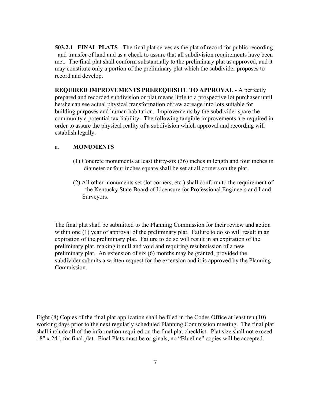**503.2.1 FINAL PLATS** - The final plat serves as the plat of record for public recording and transfer of land and as a check to assure that all subdivision requirements have been met. The final plat shall conform substantially to the preliminary plat as approved, and it may constitute only a portion of the preliminary plat which the subdivider proposes to record and develop.

**REQUIRED IMPROVEMENTS PREREQUISITE TO APPROVAL** - A perfectly prepared and recorded subdivision or plat means little to a prospective lot purchaser until he/she can see actual physical transformation of raw acreage into lots suitable for building purposes and human habitation. Improvements by the subdivider spare the community a potential tax liability. The following tangible improvements are required in order to assure the physical reality of a subdivision which approval and recording will establish legally.

#### a. **MONUMENTS**

- (1) Concrete monuments at least thirty-six (36) inches in length and four inches in diameter or four inches square shall be set at all corners on the plat.
- (2) All other monuments set (lot corners, etc.) shall conform to the requirement of the Kentucky State Board of Licensure for Professional Engineers and Land Surveyors.

The final plat shall be submitted to the Planning Commission for their review and action within one (1) year of approval of the preliminary plat. Failure to do so will result in an expiration of the preliminary plat. Failure to do so will result in an expiration of the preliminary plat, making it null and void and requiring resubmission of a new preliminary plat. An extension of six (6) months may be granted, provided the subdivider submits a written request for the extension and it is approved by the Planning Commission.

Eight (8) Copies of the final plat application shall be filed in the Codes Office at least ten (10) working days prior to the next regularly scheduled Planning Commission meeting. The final plat shall include all of the information required on the final plat checklist. Plat size shall not exceed 18" x 24", for final plat. Final Plats must be originals, no "Blueline" copies will be accepted.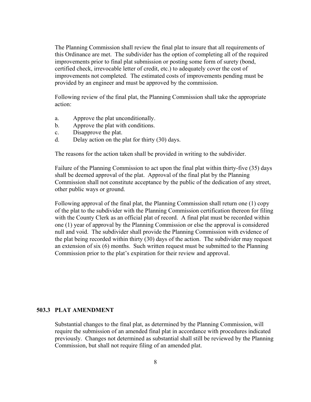The Planning Commission shall review the final plat to insure that all requirements of this Ordinance are met. The subdivider has the option of completing all of the required improvements prior to final plat submission or posting some form of surety (bond, certified check, irrevocable letter of credit, etc.) to adequately cover the cost of improvements not completed. The estimated costs of improvements pending must be provided by an engineer and must be approved by the commission.

Following review of the final plat, the Planning Commission shall take the appropriate action:

- a. Approve the plat unconditionally.
- b. Approve the plat with conditions.
- c. Disapprove the plat.
- d. Delay action on the plat for thirty (30) days.

The reasons for the action taken shall be provided in writing to the subdivider.

Failure of the Planning Commission to act upon the final plat within thirty-five (35) days shall be deemed approval of the plat. Approval of the final plat by the Planning Commission shall not constitute acceptance by the public of the dedication of any street, other public ways or ground.

Following approval of the final plat, the Planning Commission shall return one (1) copy of the plat to the subdivider with the Planning Commission certification thereon for filing with the County Clerk as an official plat of record. A final plat must be recorded within one (1) year of approval by the Planning Commission or else the approval is considered null and void. The subdivider shall provide the Planning Commission with evidence of the plat being recorded within thirty (30) days of the action. The subdivider may request an extension of six (6) months. Such written request must be submitted to the Planning Commission prior to the plat's expiration for their review and approval.

#### **503.3 PLAT AMENDMENT**

Substantial changes to the final plat, as determined by the Planning Commission, will require the submission of an amended final plat in accordance with procedures indicated previously. Changes not determined as substantial shall still be reviewed by the Planning Commission, but shall not require filing of an amended plat.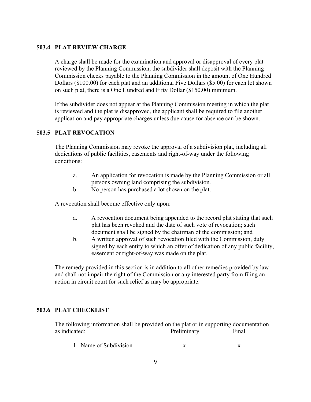## **503.4 PLAT REVIEW CHARGE**

A charge shall be made for the examination and approval or disapproval of every plat reviewed by the Planning Commission, the subdivider shall deposit with the Planning Commission checks payable to the Planning Commission in the amount of One Hundred Dollars (\$100.00) for each plat and an additional Five Dollars (\$5.00) for each lot shown on such plat, there is a One Hundred and Fifty Dollar (\$150.00) minimum.

If the subdivider does not appear at the Planning Commission meeting in which the plat is reviewed and the plat is disapproved, the applicant shall be required to file another application and pay appropriate charges unless due cause for absence can be shown.

## **503.5 PLAT REVOCATION**

The Planning Commission may revoke the approval of a subdivision plat, including all dedications of public facilities, easements and right-of-way under the following conditions:

- a. An application for revocation is made by the Planning Commission or all persons owning land comprising the subdivision.
- b. No person has purchased a lot shown on the plat.

A revocation shall become effective only upon:

- a. A revocation document being appended to the record plat stating that such plat has been revoked and the date of such vote of revocation; such document shall be signed by the chairman of the commission; and
- b. A written approval of such revocation filed with the Commission, duly signed by each entity to which an offer of dedication of any public facility, easement or right-of-way was made on the plat.

The remedy provided in this section is in addition to all other remedies provided by law and shall not impair the right of the Commission or any interested party from filing an action in circuit court for such relief as may be appropriate.

## **503.6 PLAT CHECKLIST**

The following information shall be provided on the plat or in supporting documentation as indicated: The Preliminary Final Research Street Executive Street Executive Street Executive Street Executive Street Executive Street Executive Street Executive Street Executive Street Executive Street Executive Street

1. Name of Subdivision x x x x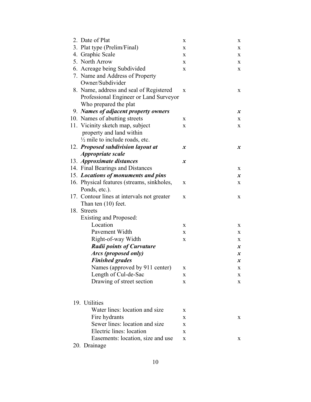| 2. Date of Plat                            | X                | X                |
|--------------------------------------------|------------------|------------------|
| 3. Plat type (Prelim/Final)                | X                | X                |
| 4. Graphic Scale                           | X                | X                |
| 5. North Arrow                             | X                | X                |
| 6. Acreage being Subdivided                | X                | X                |
| 7. Name and Address of Property            |                  |                  |
| Owner/Subdivider                           |                  |                  |
| 8. Name, address and seal of Registered    | X                | $\mathbf X$      |
| Professional Engineer or Land Surveyor     |                  |                  |
| Who prepared the plat                      |                  |                  |
| 9. Names of adjacent property owners       |                  | $\boldsymbol{x}$ |
| 10. Names of abutting streets              | X                | X                |
| 11. Vicinity sketch map, subject           | X                | X                |
| property and land within                   |                  |                  |
| $\frac{1}{2}$ mile to include roads, etc.  |                  |                  |
| 12. Proposed subdivision layout at         | $\boldsymbol{x}$ | $\boldsymbol{x}$ |
| <i>Appropriate scale</i>                   |                  |                  |
| 13. Approximate distances                  | $\boldsymbol{x}$ |                  |
| 14. Final Bearings and Distances           |                  | X                |
| 15. Locations of monuments and pins        |                  | $\boldsymbol{x}$ |
| 16. Physical features (streams, sinkholes, | X                | X                |
| Ponds, etc.).                              |                  |                  |
| 17. Contour lines at intervals not greater | X                | X                |
| Than ten $(10)$ feet.                      |                  |                  |
| 18. Streets                                |                  |                  |
| <b>Existing and Proposed:</b>              |                  |                  |
| Location                                   | $\mathbf X$      | X                |
| Pavement Width                             | $\mathbf X$      | X                |
| Right-of-way Width                         | $\mathbf X$      | X                |
| <b>Radii points of Curvature</b>           |                  | $\boldsymbol{x}$ |
| Arcs (proposed only)                       |                  | $\boldsymbol{x}$ |
| <b>Finished grades</b>                     |                  | $\boldsymbol{x}$ |
| Names (approved by 911 center)             | X                | X                |
| Length of Cul-de-Sac                       | X                | X                |
| Drawing of street section                  | X                | X                |
|                                            |                  |                  |
|                                            |                  |                  |
| 19. Utilities                              |                  |                  |
| Water lines: location and size             | X                |                  |
| Fire hydrants                              | X                | X                |
| Sewer lines: location and size             | X                |                  |
| Electric lines: location                   | $\mathbf X$      |                  |
| Easements: location, size and use          | X                | X                |
| 20. Drainage                               |                  |                  |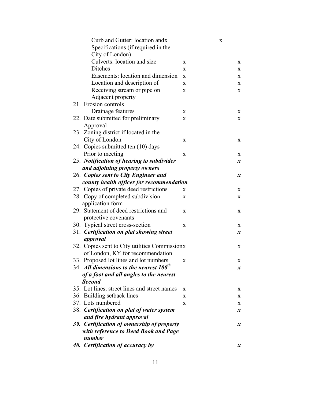| Curb and Gutter: location andx                |              | X                |
|-----------------------------------------------|--------------|------------------|
| Specifications (if required in the            |              |                  |
| City of London)                               |              |                  |
| Culverts: location and size                   | X            | X                |
| Ditches                                       | $\mathbf{x}$ | X                |
| Easements: location and dimension             | X            | X                |
| Location and description of                   | X            | X                |
| Receiving stream or pipe on                   | X            | $\mathbf{X}$     |
| Adjacent property                             |              |                  |
| 21. Erosion controls                          |              |                  |
| Drainage features                             | X            | X                |
| 22. Date submitted for preliminary            | X            | X                |
| Approval                                      |              |                  |
| 23. Zoning district if located in the         |              |                  |
| City of London                                | $\mathbf X$  | $\mathbf{X}$     |
| 24. Copies submitted ten (10) days            |              |                  |
| Prior to meeting                              | X            | X                |
| 25. Notification of hearing to subdivider     |              | $\boldsymbol{x}$ |
| and adjoining property owners                 |              |                  |
| 26. Copies sent to City Engineer and          |              | $\boldsymbol{x}$ |
| county health officer for recommendation      |              |                  |
| 27. Copies of private deed restrictions       | X            | X                |
| 28. Copy of completed subdivision             | X            | $\mathbf X$      |
| application form                              |              |                  |
| 29. Statement of deed restrictions and        | X            | X                |
| protective covenants                          |              |                  |
| 30. Typical street cross-section              | X            | X                |
| 31. Certification on plat showing street      |              | $\boldsymbol{x}$ |
| approval                                      |              |                  |
| 32. Copies sent to City utilities Commissionx |              | X                |
| of London, KY for recommendation              |              |                  |
| 33. Proposed lot lines and lot numbers        | X            | X                |
| 34. All dimensions to the nearest $100th$     |              | $\boldsymbol{x}$ |
| of a foot and all angles to the nearest       |              |                  |
| <b>Second</b>                                 |              |                  |
| 35. Lot lines, street lines and street names  | $\mathbf{X}$ | X                |
| 36. Building setback lines                    | X            | X                |
| 37. Lots numbered                             | X            | X                |
| 38. Certification on plat of water system     |              | $\boldsymbol{x}$ |
| and fire hydrant approval                     |              |                  |
| 39. Certification of ownership of property    |              | $\boldsymbol{x}$ |
| with reference to Deed Book and Page          |              |                  |
| number                                        |              |                  |
| 40. Certification of accuracy by              |              | $\boldsymbol{x}$ |
|                                               |              |                  |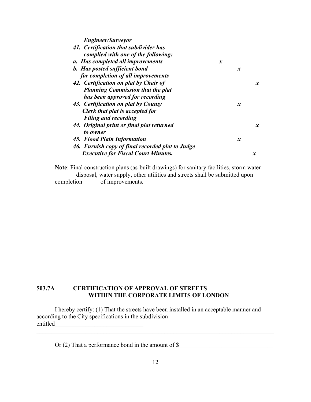*Engineer/Surveyor* 

| 41. Certification that subdivider has<br>complied with one of the following: |                  |                  |                  |
|------------------------------------------------------------------------------|------------------|------------------|------------------|
| a. Has completed all improvements                                            | $\boldsymbol{x}$ |                  |                  |
| <b>b.</b> Has posted sufficient bond                                         |                  | $\boldsymbol{x}$ |                  |
| for completion of all improvements                                           |                  |                  |                  |
| 42. Certification on plat by Chair of                                        |                  |                  | $\mathbf{x}$     |
| <b>Planning Commission that the plat</b>                                     |                  |                  |                  |
| has been approved for recording                                              |                  |                  |                  |
| 43. Certification on plat by County                                          |                  | $\boldsymbol{x}$ |                  |
| Clerk that plat is accepted for                                              |                  |                  |                  |
| <b>Filing and recording</b>                                                  |                  |                  |                  |
| 44. Original print or final plat returned                                    |                  |                  | $\mathbf{x}$     |
| to owner                                                                     |                  |                  |                  |
| 45. Flood Plain Information                                                  |                  | $\boldsymbol{x}$ |                  |
| 46. Furnish copy of final recorded plat to Judge                             |                  |                  |                  |
| <b>Executive for Fiscal Court Minutes.</b>                                   |                  |                  | $\boldsymbol{x}$ |
|                                                                              |                  |                  |                  |

**Note**: Final construction plans (as-built drawings) for sanitary facilities, storm water disposal, water supply, other utilities and streets shall be submitted upon completion of improvements.

## **503.7A CERTIFICATION OF APPROVAL OF STREETS WITHIN THE CORPORATE LIMITS OF LONDON**

I hereby certify: (1) That the streets have been installed in an acceptable manner and according to the City specifications in the subdivision entitled

Or (2) That a performance bond in the amount of  $\frac{1}{2}$ 

 $\mathcal{L}_\mathcal{L} = \{ \mathcal{L}_\mathcal{L} = \{ \mathcal{L}_\mathcal{L} = \{ \mathcal{L}_\mathcal{L} = \{ \mathcal{L}_\mathcal{L} = \{ \mathcal{L}_\mathcal{L} = \{ \mathcal{L}_\mathcal{L} = \{ \mathcal{L}_\mathcal{L} = \{ \mathcal{L}_\mathcal{L} = \{ \mathcal{L}_\mathcal{L} = \{ \mathcal{L}_\mathcal{L} = \{ \mathcal{L}_\mathcal{L} = \{ \mathcal{L}_\mathcal{L} = \{ \mathcal{L}_\mathcal{L} = \{ \mathcal{L}_\mathcal{$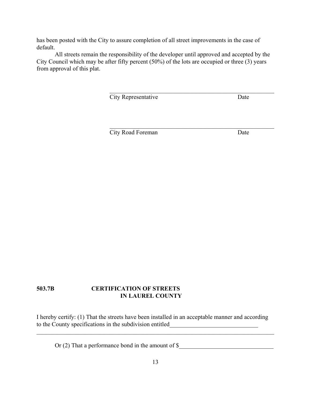has been posted with the City to assure completion of all street improvements in the case of default.

All streets remain the responsibility of the developer until approved and accepted by the City Council which may be after fifty percent (50%) of the lots are occupied or three (3) years from approval of this plat.

 $\mathcal{L}_\text{max}$  , and the contract of the contract of the contract of the contract of the contract of the contract of the contract of the contract of the contract of the contract of the contract of the contract of the contr

 $\mathcal{L}_\text{max}$  , and the contract of the contract of the contract of the contract of the contract of the contract of the contract of the contract of the contract of the contract of the contract of the contract of the contr

**City Representative Date** 

**City Road Foreman** Date

## **503.7B CERTIFICATION OF STREETS IN LAUREL COUNTY**

I hereby certify: (1) That the streets have been installed in an acceptable manner and according to the County specifications in the subdivision entitled

 $\mathcal{L}_\mathcal{L} = \mathcal{L}_\mathcal{L} = \mathcal{L}_\mathcal{L} = \mathcal{L}_\mathcal{L} = \mathcal{L}_\mathcal{L} = \mathcal{L}_\mathcal{L} = \mathcal{L}_\mathcal{L} = \mathcal{L}_\mathcal{L} = \mathcal{L}_\mathcal{L} = \mathcal{L}_\mathcal{L} = \mathcal{L}_\mathcal{L} = \mathcal{L}_\mathcal{L} = \mathcal{L}_\mathcal{L} = \mathcal{L}_\mathcal{L} = \mathcal{L}_\mathcal{L} = \mathcal{L}_\mathcal{L} = \mathcal{L}_\mathcal{L}$ 

Or  $(2)$  That a performance bond in the amount of  $\$$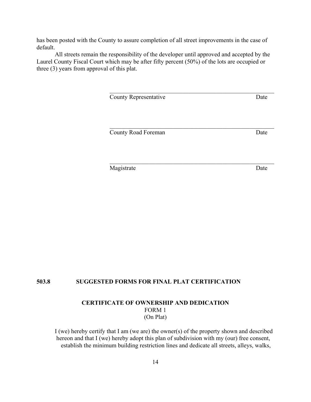has been posted with the County to assure completion of all street improvements in the case of default.

All streets remain the responsibility of the developer until approved and accepted by the Laurel County Fiscal Court which may be after fifty percent (50%) of the lots are occupied or three (3) years from approval of this plat.

 $\mathcal{L}_\text{max}$  , and the contract of the contract of the contract of the contract of the contract of the contract of the contract of the contract of the contract of the contract of the contract of the contract of the contr

 $\mathcal{L}_\text{max}$  , and the contract of the contract of the contract of the contract of the contract of the contract of the contract of the contract of the contract of the contract of the contract of the contract of the contr

 $\mathcal{L}_\text{max}$  , and the contract of the contract of the contract of the contract of the contract of the contract of the contract of the contract of the contract of the contract of the contract of the contract of the contr

County Representative Date

County Road Foreman Date

Magistrate Date

#### **503.8 SUGGESTED FORMS FOR FINAL PLAT CERTIFICATION**

## **CERTIFICATE OF OWNERSHIP AND DEDICATION** FORM 1 (On Plat)

I (we) hereby certify that I am (we are) the owner(s) of the property shown and described hereon and that I (we) hereby adopt this plan of subdivision with my (our) free consent, establish the minimum building restriction lines and dedicate all streets, alleys, walks,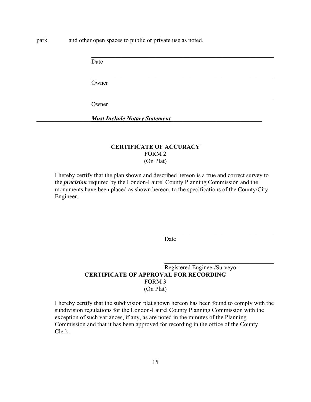park and other open spaces to public or private use as noted.

Date

Owner

Owner

\_\_\_\_\_\_\_\_\_\_\_\_\_\_\_\_\_\_*Must Include Notary Statement*\_\_\_\_\_\_\_\_\_\_\_\_\_\_\_\_\_\_\_\_\_\_\_\_\_\_\_\_\_\_

## **CERTIFICATE OF ACCURACY** FORM 2 (On Plat)

 $\mathcal{L}_\text{max}$  and the contract of the contract of the contract of the contract of the contract of the contract of

 $\mathcal{L}_\text{max}$  , and the contribution of the contribution of the contribution of the contribution of the contribution of the contribution of the contribution of the contribution of the contribution of the contribution of t

 $\mathcal{L}_\text{max}$  , and the contribution of the contribution of the contribution of the contribution of the contribution of the contribution of the contribution of the contribution of the contribution of the contribution of t

I hereby certify that the plan shown and described hereon is a true and correct survey to the *precision* required by the London-Laurel County Planning Commission and the monuments have been placed as shown hereon, to the specifications of the County/City Engineer.

Date

 $\mathcal{L}_\text{max}$ 

 $\mathcal{L}_\text{max}$ 

## Registered Engineer/Surveyor **CERTIFICATE OF APPROVAL FOR RECORDING** FORM 3 (On Plat)

I hereby certify that the subdivision plat shown hereon has been found to comply with the subdivision regulations for the London-Laurel County Planning Commission with the exception of such variances, if any, as are noted in the minutes of the Planning Commission and that it has been approved for recording in the office of the County Clerk.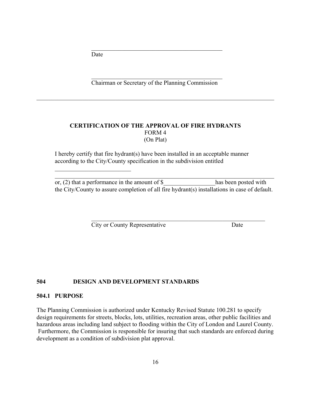Date

 $\mathcal{L}_\text{max}$  , where  $\mathcal{L}_\text{max}$  , we have the set of  $\mathcal{L}_\text{max}$ 

 $\mathcal{L}_\mathcal{L} = \{ \mathcal{L}_\mathcal{L} = \{ \mathcal{L}_\mathcal{L} \}$ Chairman or Secretary of the Planning Commission

 $\mathcal{L}_\mathcal{L} = \mathcal{L}_\mathcal{L} = \mathcal{L}_\mathcal{L} = \mathcal{L}_\mathcal{L} = \mathcal{L}_\mathcal{L} = \mathcal{L}_\mathcal{L} = \mathcal{L}_\mathcal{L} = \mathcal{L}_\mathcal{L} = \mathcal{L}_\mathcal{L} = \mathcal{L}_\mathcal{L} = \mathcal{L}_\mathcal{L} = \mathcal{L}_\mathcal{L} = \mathcal{L}_\mathcal{L} = \mathcal{L}_\mathcal{L} = \mathcal{L}_\mathcal{L} = \mathcal{L}_\mathcal{L} = \mathcal{L}_\mathcal{L}$ 

 $\mathcal{L}_\mathcal{L} = \{ \mathcal{L}_\mathcal{L} = \{ \mathcal{L}_\mathcal{L} \}$ 

## **CERTIFICATION OF THE APPROVAL OF FIRE HYDRANTS** FORM 4 (On Plat)

I hereby certify that fire hydrant(s) have been installed in an acceptable manner according to the City/County specification in the subdivision entitled

or, (2) that a performance in the amount of  $\$  has been posted with the City/County to assure completion of all fire hydrant(s) installations in case of default.

 $\mathcal{L}_\text{max}$  and the contract of the contract of the contract of the contract of the contract of the contract of

 $\mathcal{L}_\text{max}$  , and the contribution of the contribution of the contribution of the contribution of the contribution of the contribution of the contribution of the contribution of the contribution of the contribution of t

City or County Representative Date

## **504 DESIGN AND DEVELOPMENT STANDARDS**

#### **504.1 PURPOSE**

The Planning Commission is authorized under Kentucky Revised Statute 100.281 to specify design requirements for streets, blocks, lots, utilities, recreation areas, other public facilities and hazardous areas including land subject to flooding within the City of London and Laurel County. Furthermore, the Commission is responsible for insuring that such standards are enforced during development as a condition of subdivision plat approval.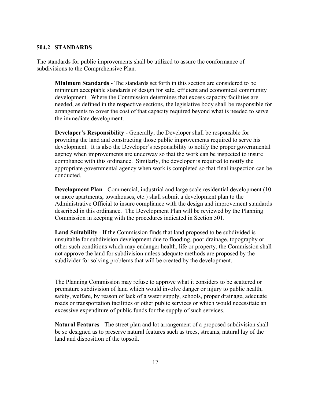#### **504.2 STANDARDS**

The standards for public improvements shall be utilized to assure the conformance of subdivisions to the Comprehensive Plan.

**Minimum Standards** - The standards set forth in this section are considered to be minimum acceptable standards of design for safe, efficient and economical community development. Where the Commission determines that excess capacity facilities are needed, as defined in the respective sections, the legislative body shall be responsible for arrangements to cover the cost of that capacity required beyond what is needed to serve the immediate development.

**Developer's Responsibility** - Generally, the Developer shall be responsible for providing the land and constructing those public improvements required to serve his development. It is also the Developer's responsibility to notify the proper governmental agency when improvements are underway so that the work can be inspected to insure compliance with this ordinance. Similarly, the developer is required to notify the appropriate governmental agency when work is completed so that final inspection can be conducted.

**Development Plan** - Commercial, industrial and large scale residential development (10) or more apartments, townhouses, etc.) shall submit a development plan to the Administrative Official to insure compliance with the design and improvement standards described in this ordinance. The Development Plan will be reviewed by the Planning Commission in keeping with the procedures indicated in Section 501.

**Land Suitability** - If the Commission finds that land proposed to be subdivided is unsuitable for subdivision development due to flooding, poor drainage, topography or other such conditions which may endanger health, life or property, the Commission shall not approve the land for subdivision unless adequate methods are proposed by the subdivider for solving problems that will be created by the development.

The Planning Commission may refuse to approve what it considers to be scattered or premature subdivision of land which would involve danger or injury to public health, safety, welfare, by reason of lack of a water supply, schools, proper drainage, adequate roads or transportation facilities or other public services or which would necessitate an excessive expenditure of public funds for the supply of such services.

**Natural Features** - The street plan and lot arrangement of a proposed subdivision shall be so designed as to preserve natural features such as trees, streams, natural lay of the land and disposition of the topsoil.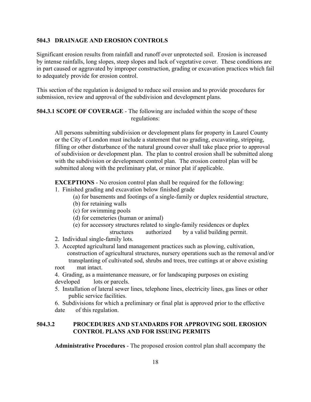## **504.3 DRAINAGE AND EROSION CONTROLS**

Significant erosion results from rainfall and runoff over unprotected soil. Erosion is increased by intense rainfalls, long slopes, steep slopes and lack of vegetative cover. These conditions are in part caused or aggravated by improper construction, grading or excavation practices which fail to adequately provide for erosion control.

This section of the regulation is designed to reduce soil erosion and to provide procedures for submission, review and approval of the subdivision and development plans.

**504.3.1 SCOPE OF COVERAGE** - The following are included within the scope of these regulations:

All persons submitting subdivision or development plans for property in Laurel County or the City of London must include a statement that no grading, excavating, stripping, filling or other disturbance of the natural ground cover shall take place prior to approval of subdivision or development plan. The plan to control erosion shall be submitted along with the subdivision or development control plan. The erosion control plan will be submitted along with the preliminary plat, or minor plat if applicable.

**EXCEPTIONS** - No erosion control plan shall be required for the following:

- 1. Finished grading and excavation below finished grade
	- (a) for basements and footings of a single-family or duplex residential structure,
	- (b) for retaining walls
	- (c) for swimming pools
	- (d) for cemeteries (human or animal)
	- (e) for accessory structures related to single-family residences or duplex
	- structures authorized by a valid building permit.
- 2. Individual single-family lots.
- 3. Accepted agricultural land management practices such as plowing, cultivation, construction of agricultural structures, nursery operations such as the removal and/or transplanting of cultivated sod, shrubs and trees, tree cuttings at or above existing
- root mat intact.

4. Grading, as a maintenance measure, or for landscaping purposes on existing developed lots or parcels.

5. Installation of lateral sewer lines, telephone lines, electricity lines, gas lines or other public service facilities.

6. Subdivisions for which a preliminary or final plat is approved prior to the effective date of this regulation.

## **504.3.2 PROCEDURES AND STANDARDS FOR APPROVING SOIL EROSION CONTROL PLANS AND FOR ISSUING PERMITS**

**Administrative Procedures** - The proposed erosion control plan shall accompany the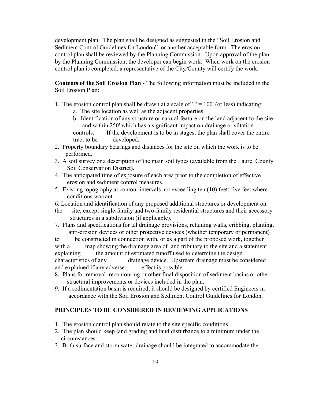development plan. The plan shall be designed as suggested in the "Soil Erosion and Sediment Control Guidelines for London", or another acceptable form. The erosion control plan shall be reviewed by the Planning Commission. Upon approval of the plan by the Planning Commission, the developer can begin work. When work on the erosion control plan is completed, a representative of the City*/*County will certify the work.

**Contents of the Soil Erosion Plan** - The following information must be included in the Soil Erosion Plan:

- 1. The erosion control plan shall be drawn at a scale of  $1" = 100'$  (or less) indicating:
	- a. The site location as well as the adjacent properties.
	- b. Identification of any structure or natural feature on the land adjacent to the site and within 250' which has a significant impact on drainage or siltation controls. If the development is to be in stages, the plan shall cover the entire tract to be developed.
- 2. Property boundary bearings and distances for the site on which the work is to be performed.
- 3. A soil survey or a description of the main soil types (available from the Laurel County Soil Conservation District).
- 4. The anticipated time of exposure of each area prior to the completion of effective erosion and sediment control measures.
- 5. Existing topography at contour intervals not exceeding ten (10) feet; five feet where conditions warrant.
- 6. Location and identification of any proposed additional structures or development on
- the site, except single-family and two-family residential structures and their accessory structures in a subdivision (if applicable).
- 7. Plans and specifications for all drainage provisions, retaining walls, cribbing, planting, anti-erosion devices or other protective devices (whether temporary or permanent)

to be constructed in connection with, or as a part of the proposed work, together with a map showing the drainage area of land tributary to the site and a statement explaining the amount of estimated runoff used to determine the design characteristics of any drainage device. Upstream drainage must be considered and explained if any adverse effect is possible.

- 8. Plans for removal, recontouring or other final disposition of sediment basins or other structural improvements or devices included in the plan.
- 9. If a sedimentation basin is required, it should be designed by certified Engineers in accordance with the Soil Erosion and Sediment Control Guidelines for London.

## **PRINCIPLES TO BE CONSIDERED IN REVIEWING APPLICATIONS**

- 1. The erosion control plan should relate to the site specific conditions.
- 2. The plan should keep land grading and land disturbance to a minimum under the circumstances.
- 3. Both surface and storm water drainage should be integrated to accommodate the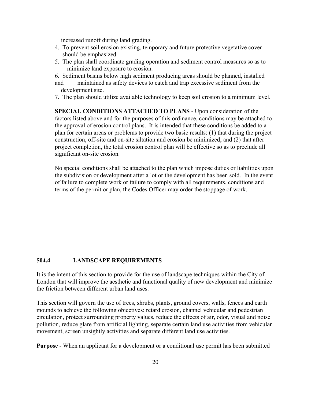increased runoff during land grading.

- 4. To prevent soil erosion existing, temporary and future protective vegetative cover should be emphasized.
- 5. The plan shall coordinate grading operation and sediment control measures so as to minimize land exposure to erosion.
- 6. Sediment basins below high sediment producing areas should be planned, installed
- and maintained as safety devices to catch and trap excessive sediment from the development site.
- 7. The plan should utilize available technology to keep soil erosion to a minimum level.

**SPECIAL CONDITIONS ATTACHED TO PLANS** - Upon consideration of the factors listed above and for the purposes of this ordinance, conditions may be attached to the approval of erosion control plans. It is intended that these conditions be added to a plan for certain areas or problems to provide two basic results: (1) that during the project construction, off-site and on-site siltation and erosion be minimized; and (2) that after project completion, the total erosion control plan will be effective so as to preclude all significant on-site erosion.

No special conditions shall be attached to the plan which impose duties or liabilities upon the subdivision or development after a lot or the development has been sold. In the event of failure to complete work or failure to comply with all requirements, conditions and terms of the permit or plan, the Codes Officer may order the stoppage of work.

#### **504.4 LANDSCAPE REQUIREMENTS**

It is the intent of this section to provide for the use of landscape techniques within the City of London that will improve the aesthetic and functional quality of new development and minimize the friction between different urban land uses.

This section will govern the use of trees, shrubs, plants, ground covers, walls, fences and earth mounds to achieve the following objectives: retard erosion, channel vehicular and pedestrian circulation, protect surrounding property values, reduce the effects of air, odor, visual and noise pollution, reduce glare from artificial lighting, separate certain land use activities from vehicular movement, screen unsightly activities and separate different land use activities.

**Purpose** - When an applicant for a development or a conditional use permit has been submitted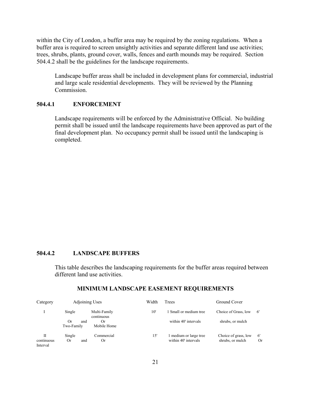within the City of London, a buffer area may be required by the zoning regulations. When a buffer area is required to screen unsightly activities and separate different land use activities; trees, shrubs, plants, ground cover, walls, fences and earth mounds may be required. Section 504.4.2 shall be the guidelines for the landscape requirements.

Landscape buffer areas shall be included in development plans for commercial, industrial and large scale residential developments. They will be reviewed by the Planning Commission.

## **504.4.1 ENFORCEMENT**

Landscape requirements will be enforced by the Administrative Official. No building permit shall be issued until the landscape requirements have been approved as part of the final development plan. No occupancy permit shall be issued until the landscaping is completed.

#### **504.4.2 LANDSCAPE BUFFERS**

This table describes the landscaping requirements for the buffer areas required between different land use activities.

| Category                    | Adjoining Uses          |                            | Width        | Trees                                        | Ground Cover                             |           |
|-----------------------------|-------------------------|----------------------------|--------------|----------------------------------------------|------------------------------------------|-----------|
|                             | Single                  | Multi-Family<br>continuous | $10^{\circ}$ | 1 Small or medium tree                       | Choice of Grass, low                     | -6'       |
|                             | 0r<br>and<br>Two-Family | Or.<br>Mobile Home         |              | within 40' intervals                         | shrubs, or mulch                         |           |
| П<br>continuous<br>Interval | Single<br>Or<br>and     | Commercial<br>0r           | 15'          | medium or large tree<br>within 40' intervals | Choice of grass, low<br>shrubs, or mulch | -6'<br>Or |

#### **MINIMUM LANDSCAPE EASEMENT REQUIREMENTS**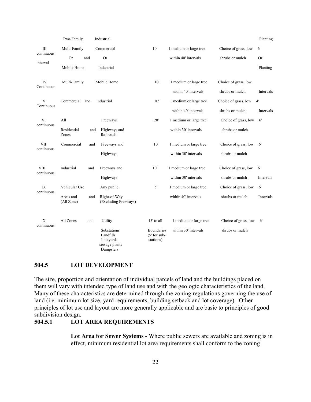|                           | Two-Family              |     | Industrial                                                          |                                           |                        |                      | Planting     |
|---------------------------|-------------------------|-----|---------------------------------------------------------------------|-------------------------------------------|------------------------|----------------------|--------------|
| Ш<br>continuous           | Multi-Family            |     | Commercial                                                          | 10'                                       | 1 medium or large tree | Choice of grass, low | 6'           |
|                           | <b>Or</b><br>and        |     | <b>Or</b>                                                           |                                           | within 40' intervals   | shrubs or mulch      | <b>Or</b>    |
| interval                  | Mobile Home             |     | Industrial                                                          |                                           |                        |                      | Planting     |
| IV<br>Continuous          | Multi-Family            |     | Mobile Home                                                         | 10'                                       | 1 medium or large tree | Choice of grass, low |              |
|                           |                         |     |                                                                     |                                           | within 40' intervals   | shrubs or mulch      | Intervals    |
| V<br>Continuous           | Commercial<br>and       |     | Industrial                                                          | 10'                                       | 1 medium or large tree | Choice of grass, low | 4'           |
|                           |                         |     |                                                                     |                                           | within 40' intervals   | shrubs or mulch      | Intervals    |
| VI<br>continuous          | All                     |     | Freeways                                                            | 20'                                       | 1 medium or large tree | Choice of grass, low | 6'           |
|                           | Residential<br>Zones    | and | Highways and<br>Railroads                                           |                                           | within 30' intervals   | shrubs or mulch      |              |
| VII                       | Commercial              | and | Freeways and                                                        | 10'                                       | 1 medium or large tree | Choice of grass, low | $6^{\prime}$ |
| continuous                |                         |     | Highways                                                            |                                           | within 30' intervals   | shrubs or mulch      |              |
| <b>VIII</b><br>continuous | Industrial              | and | Freeways and                                                        | 10'                                       | 1 medium or large tree | Choice of grass, low | 6'           |
|                           |                         |     | Highways                                                            |                                           | within 30' intervals   | shrubs or mulch      | Intervals    |
| IX<br>continuous          | Vehicular Use           |     | Any public                                                          | 5'                                        | 1 medium or large tree | Choice of grass, low | 6'           |
|                           | Areas and<br>(All Zone) | and | Right-of-Way<br>(Excluding Freeways)                                |                                           | within 40' intervals   | shrubs or mulch      | Intervals    |
| $\mathbf X$<br>continuous | All Zones               | and | Utility                                                             | 15' to all                                | 1 medium or large tree | Choice of grass, low | 6'           |
|                           |                         |     | Substations<br>Landfills<br>Junkyards<br>sewage plants<br>Dumpsters | Boundaries<br>$(5'$ for sub-<br>stations) | within 30' intervals   | shrubs or mulch      |              |

#### **504.5 LOT DEVELOPMENT**

The size, proportion and orientation of individual parcels of land and the buildings placed on them will vary with intended type of land use and with the geologic characteristics of the land. Many of these characteristics are determined through the zoning regulations governing the use of land (i.e. minimum lot size, yard requirements, building setback and lot coverage). Other principles of lot use and layout are more generally applicable and are basic to principles of good subdivision design.

## **504.5.1 LOT AREA REQUIREMENTS**

**Lot Area for Sewer Systems** - Where public sewers are available and zoning is in effect, minimum residential lot area requirements shall conform to the zoning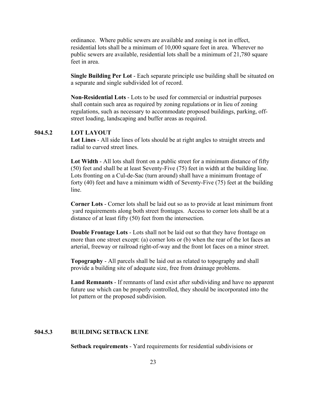ordinance. Where public sewers are available and zoning is not in effect, residential lots shall be a minimum of 10,000 square feet in area. Wherever no public sewers are available, residential lots shall be a minimum of 21,780 square feet in area.

**Single Building Per Lot** - Each separate principle use building shall be situated on a separate and single subdivided lot of record.

**Non-Residential Lots** - Lots to be used for commercial or industrial purposes shall contain such area as required by zoning regulations or in lieu of zoning regulations, such as necessary to accommodate proposed buildings, parking, offstreet loading, landscaping and buffer areas as required.

#### **504.5.2 LOT LAYOUT**

**Lot Lines** - All side lines of lots should be at right angles to straight streets and radial to curved street lines.

**Lot Width** - All lots shall front on a public street for a minimum distance of fifty (50) feet and shall be at least Seventy-Five (75) feet in width at the building line. Lots fronting on a Cul-de-Sac (turn around) shall have a minimum frontage of forty (40) feet and have a minimum width of Seventy-Five (75) feet at the building line.

**Corner Lots** - Corner lots shall be laid out so as to provide at least minimum front yard requirements along both street frontages. Access to corner lots shall be at a distance of at least fifty (50) feet from the intersection.

**Double Frontage Lots** - Lots shall not be laid out so that they have frontage on more than one street except: (a) corner lots or (b) when the rear of the lot faces an arterial, freeway or railroad right-of-way and the front lot faces on a minor street.

**Topography** - All parcels shall be laid out as related to topography and shall provide a building site of adequate size, free from drainage problems.

**Land Remnants** - If remnants of land exist after subdividing and have no apparent future use which can be properly controlled, they should be incorporated into the lot pattern or the proposed subdivision.

## **504.5.3 BUILDING SETBACK LINE**

**Setback requirements** - Yard requirements for residential subdivisions or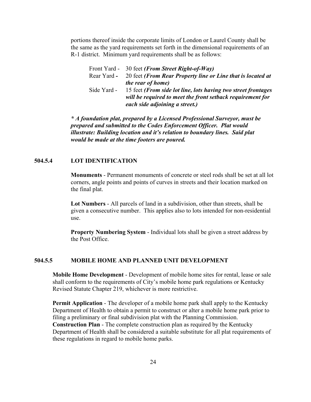portions thereof inside the corporate limits of London or Laurel County shall be the same as the yard requirements set forth in the dimensional requirements of an R-1 district. Minimum yard requirements shall be as follows:

|             | Front Yard - 30 feet (From Street Right-of-Way)               |
|-------------|---------------------------------------------------------------|
| Rear Yard - | 20 feet (From Rear Property line or Line that is located at   |
|             | <i>the rear of home)</i>                                      |
| Side Yard - | 15 feet (From side lot line, lots having two street frontages |
|             | will be required to meet the front setback requirement for    |
|             | each side adjoining a street.)                                |

*\* A foundation plat, prepared by a Licensed Professional Surveyor, must be prepared and submitted to the Codes Enforcement Officer. Plat would illustrate: Building location and it's relation to boundary lines. Said plat would be made at the time footers are poured.*

#### **504.5.4 LOT IDENTIFICATION**

**Monuments** - Permanent monuments of concrete or steel rods shall be set at all lot corners, angle points and points of curves in streets and their location marked on the final plat.

**Lot Numbers** - All parcels of land in a subdivision, other than streets, shall be given a consecutive number. This applies also to lots intended for non-residential use.

**Property Numbering System** - Individual lots shall be given a street address by the Post Office.

#### **504.5.5 MOBILE HOME AND PLANNED UNIT DEVELOPMENT**

**Mobile Home Development** - Development of mobile home sites for rental, lease or sale shall conform to the requirements of City's mobile home park regulations or Kentucky Revised Statute Chapter 219, whichever is more restrictive.

**Permit Application** - The developer of a mobile home park shall apply to the Kentucky Department of Health to obtain a permit to construct or alter a mobile home park prior to filing a preliminary or final subdivision plat with the Planning Commission. **Construction Plan** - The complete construction plan as required by the Kentucky Department of Health shall be considered a suitable substitute for all plat requirements of these regulations in regard to mobile home parks.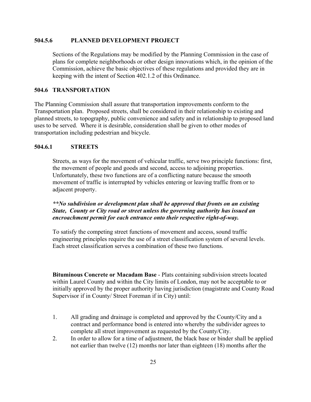## **504.5.6 PLANNED DEVELOPMENT PROJECT**

Sections of the Regulations may be modified by the Planning Commission in the case of plans for complete neighborhoods or other design innovations which, in the opinion of the Commission, achieve the basic objectives of these regulations and provided they are in keeping with the intent of Section 402.1.2 of this Ordinance.

#### **504.6 TRANSPORTATION**

The Planning Commission shall assure that transportation improvements conform to the Transportation plan. Proposed streets, shall be considered in their relationship to existing and planned streets, to topography, public convenience and safety and in relationship to proposed land uses to be served. Where it is desirable, consideration shall be given to other modes of transportation including pedestrian and bicycle.

## **504.6.1 STREETS**

Streets, as ways for the movement of vehicular traffic, serve two principle functions: first, the movement of people and goods and second, access to adjoining properties. Unfortunately, these two functions are of a conflicting nature because the smooth movement of traffic is interrupted by vehicles entering or leaving traffic from or to adjacent property.

## *\*\*No subdivision or development plan shall be approved that fronts on an existing State, County or City road or street unless the governing authority has issued an encroachment permit for each entrance onto their respective right-of-way.*

To satisfy the competing street functions of movement and access, sound traffic engineering principles require the use of a street classification system of several levels. Each street classification serves a combination of these two functions.

**Bituminous Concrete or Macadam Base** - Plats containing subdivision streets located within Laurel County and within the City limits of London, may not be acceptable to or initially approved by the proper authority having jurisdiction (magistrate and County Road Supervisor if in County/ Street Foreman if in City) until:

- 1. All grading and drainage is completed and approved by the County/City and a contract and performance bond is entered into whereby the subdivider agrees to complete all street improvement as requested by the County/City.
- 2. In order to allow for a time of adjustment, the black base or binder shall be applied not earlier than twelve (12) months nor later than eighteen (18) months after the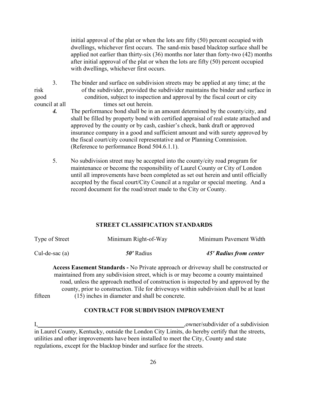initial approval of the plat or when the lots are fifty (50) percent occupied with dwellings, whichever first occurs. The sand-mix based blacktop surface shall be applied not earlier than thirty-six (36) months nor later than forty-two (42) months after initial approval of the plat or when the lots are fifty (50) percent occupied with dwellings, whichever first occurs.

- 3. The binder and surface on subdivision streets may be applied at any time; at the risk of the subdivider, provided the subdivider maintains the binder and surface in good condition, subject to inspection and approval by the fiscal court or city council at all times set out herein.
	- *4.* The performance bond shall be in an amount determined by the county/city, and shall be filled by property bond with certified appraisal of real estate attached and approved by the county or by cash, cashier's check, bank draft or approved insurance company in a good and sufficient amount and with surety approved by the fiscal court/city council representative and or Planning Commission. (Reference to performance Bond 504.6.1.1).
	- 5. No subdivision street may be accepted into the county/city road program for maintenance or become the responsibility of Laurel County or City of London until all improvements have been completed as set out herein and until officially accepted by the fiscal court/City Council at a regular or special meeting.And a record document for the road/street made to the City or County.

## **STREET CLASSIFICATION STANDARDS**

| Type of Street   | Minimum Right-of-Way | Minimum Pavement Width |
|------------------|----------------------|------------------------|
| Cul-de-sac $(a)$ | 50' Radius           | 45' Radius from center |

**Access Easement Standards -** No Private approach or driveway shall be constructed or maintained from any subdivision street, which is or may become a county maintained road, unless the approach method of construction is inspected by and approved by the county, prior to construction. Tile for driveways within subdivision shall be at least fifteen (15) inches in diameter and shall be concrete.

## **CONTRACT FOR SUBDIVISION IMPROVEMENT**

I,\_\_\_\_\_\_\_\_\_\_\_\_\_\_\_\_\_\_\_\_\_\_\_\_\_\_\_\_\_\_\_\_\_\_\_\_\_\_\_\_\_\_\_\_\_\_\_\_,owner/subdivider of a subdivision in Laurel County, Kentucky, outside the London City Limits, do hereby certify that the streets, utilities and other improvements have been installed to meet the City, County and state regulations, except for the blacktop binder and surface for the streets.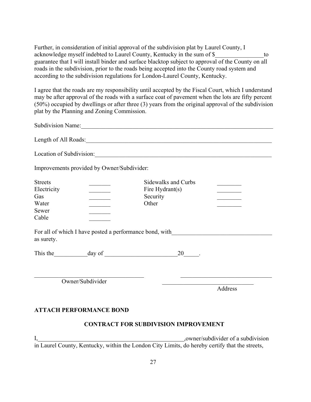Further, in consideration of initial approval of the subdivision plat by Laurel County, I acknowledge myself indebted to Laurel County, Kentucky in the sum of \$ guarantee that I will install binder and surface blacktop subject to approval of the County on all roads in the subdivision, prior to the roads being accepted into the County road system and according to the subdivision regulations for London-Laurel County, Kentucky.

I agree that the roads are my responsibility until accepted by the Fiscal Court, which I understand may be after approval of the roads with a surface coat of pavement when the lots are fifty percent (50%) occupied by dwellings or after three (3) years from the original approval of the subdivision plat by the Planning and Zoning Commission.

| Subdivision Name: 1988                                                        |                                                                                                                            |                                                                                                                                                                                                                                      |                                                                                |  |  |
|-------------------------------------------------------------------------------|----------------------------------------------------------------------------------------------------------------------------|--------------------------------------------------------------------------------------------------------------------------------------------------------------------------------------------------------------------------------------|--------------------------------------------------------------------------------|--|--|
|                                                                               |                                                                                                                            | Length of All Roads:                                                                                                                                                                                                                 |                                                                                |  |  |
|                                                                               |                                                                                                                            | Location of Subdivision:                                                                                                                                                                                                             |                                                                                |  |  |
|                                                                               | Improvements provided by Owner/Subdivider:                                                                                 |                                                                                                                                                                                                                                      |                                                                                |  |  |
| <b>Streets</b><br>Electricity<br>Gas<br>Water<br>Sewer<br>Cable<br>as surety. | $\mathcal{L}^{\text{max}}$ , where $\mathcal{L}^{\text{max}}$<br>$\mathcal{L}^{\text{max}}$ and $\mathcal{L}^{\text{max}}$ | Sidewalks and Curbs<br>Fire Hydrant(s)<br>Security<br>Other<br>For all of which I have posted a performance bond, with_________________________                                                                                      | <u>and the company of the company</u>                                          |  |  |
|                                                                               |                                                                                                                            | $20$ <sub>____</sub> .                                                                                                                                                                                                               |                                                                                |  |  |
|                                                                               | Owner/Subdivider                                                                                                           | <u>and the state of the state of the state of the state of the state of the state of the state of the state of the state of the state of the state of the state of the state of the state of the state of the state of the state</u> | <u> 1989 - Johann John Stone, market fransk politiker (d. 1989)</u><br>Address |  |  |
|                                                                               | <b>ATTACH PERFORMANCE BOND</b>                                                                                             | <b>CONTRACT FOR SUBDIVISION IMPROVEMENT</b>                                                                                                                                                                                          |                                                                                |  |  |
|                                                                               |                                                                                                                            |                                                                                                                                                                                                                                      |                                                                                |  |  |

I,\_\_\_\_\_\_\_\_\_\_\_\_\_\_\_\_\_\_\_\_\_\_\_\_\_\_\_\_\_\_\_\_\_\_\_\_\_\_\_\_\_\_\_\_\_\_\_\_,owner/subdivider of a subdivision in Laurel County, Kentucky, within the London City Limits, do hereby certify that the streets,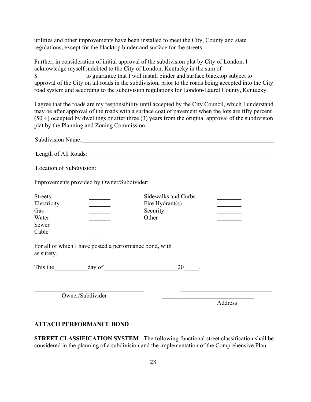utilities and other improvements have been installed to meet the City, County and state regulations, except for the blacktop binder and surface for the streets.

Further, in consideration of initial approval of the subdivision plat by City of London, I acknowledge myself indebted to the City of London, Kentucky in the sum of \$\_\_\_\_\_\_\_\_\_\_\_\_\_\_\_\_to guarantee that I will install binder and surface blacktop subject to approval of the City on all roads in the subdivision, prior to the roads being accepted into the City road system and according to the subdivision regulations for London-Laurel County, Kentucky.

I agree that the roads are my responsibility until accepted by the City Council, which I understand may be after approval of the roads with a surface coat of pavement when the lots are fifty percent (50%) occupied by dwellings or after three (3) years from the original approval of the subdivision plat by the Planning and Zoning Commission.

| Length of All Roads:                                                                                                                                                                                  |                                                               |         |
|-------------------------------------------------------------------------------------------------------------------------------------------------------------------------------------------------------|---------------------------------------------------------------|---------|
| Location of Subdivision:                                                                                                                                                                              |                                                               |         |
| Improvements provided by Owner/Subdivider:                                                                                                                                                            |                                                               |         |
| <b>Streets</b><br>Electricity<br>Gas<br>$\mathcal{L}^{\text{max}}$ and $\mathcal{L}^{\text{max}}$<br>Water<br>Sewer<br>Cable<br>For all of which I have posted a performance bond, with<br>as surety. | Sidewalks and Curbs<br>Fire $Hydrant(s)$<br>Security<br>Other |         |
|                                                                                                                                                                                                       | 20                                                            |         |
| Owner/Subdivider                                                                                                                                                                                      |                                                               | Address |

## **ATTACH PERFORMANCE BOND**

**STREET CLASSIFICATION SYSTEM** - The following functional street classification shall be considered in the planning of a subdivision and the implementation of the Comprehensive Plan.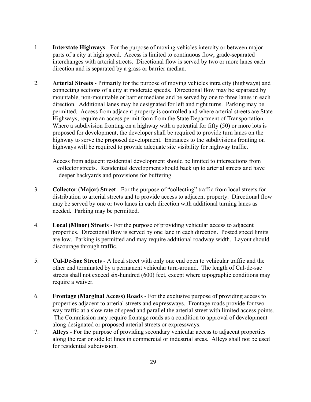- 1. **Interstate Highways** For the purpose of moving vehicles intercity or between major parts of a city at high speed. Access is limited to continuous flow, grade-separated interchanges with arterial streets. Directional flow is served by two or more lanes each direction and is separated by a grass or barrier median.
- 2. **Arterial Streets** Primarily for the purpose of moving vehicles intra city (highways) and connecting sections of a city at moderate speeds. Directional flow may be separated by mountable, non-mountable or barrier medians and be served by one to three lanes in each direction. Additional lanes may be designated for left and right turns. Parking may be permitted. Access from adjacent property is controlled and where arterial streets are State Highways, require an access permit form from the State Department of Transportation. Where a subdivision fronting on a highway with a potential for fifty (50) or more lots is proposed for development, the developer shall be required to provide turn lanes on the highway to serve the proposed development. Entrances to the subdivisions fronting on highways will be required to provide adequate site visibility for highway traffic.

Access from adjacent residential development should be limited to intersections from collector streets. Residential development should back up to arterial streets and have deeper backyards and provisions for buffering.

- 3. **Collector (Major) Street** For the purpose of "collecting" traffic from local streets for distribution to arterial streets and to provide access to adjacent property. Directional flow may be served by one or two lanes in each direction with additional turning lanes as needed. Parking may be permitted.
- 4. **Local (Minor) Streets** For the purpose of providing vehicular access to adjacent properties. Directional flow is served by one lane in each direction. Posted speed limits are low. Parking is permitted and may require additional roadway width. Layout should discourage through traffic.
- 5. **Cul-De-Sac Streets** A local street with only one end open to vehicular traffic and the other end terminated by a permanent vehicular turn-around. The length of Cul-de-sac streets shall not exceed six-hundred (600) feet, except where topographic conditions may require a waiver.
- 6. **Frontage (Marginal Access) Roads** For the exclusive purpose of providing access to properties adjacent to arterial streets and expressways. Frontage roads provide for twoway traffic at a slow rate of speed and parallel the arterial street with limited access points. The Commission may require frontage roads as a condition to approval of development along designated or proposed arterial streets or expressways.
- 7. **Alleys** For the purpose of providing secondary vehicular access to adjacent properties along the rear or side lot lines in commercial or industrial areas. Alleys shall not be used for residential subdivision.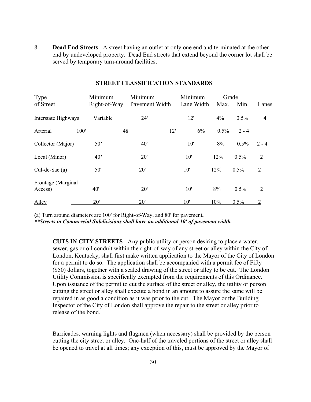8. **Dead End Streets** - A street having an outlet at only one end and terminated at the other end by undeveloped property. Dead End streets that extend beyond the corner lot shall be served by temporary turn-around facilities.

| Type<br>of Street             | Minimum<br>Right-of-Way | Minimum<br>Pavement Width |     | Minimum<br>Lane Width | Grade<br>Max. | Min.    | Lanes          |
|-------------------------------|-------------------------|---------------------------|-----|-----------------------|---------------|---------|----------------|
| Interstate Highways           | Variable                | 24'                       |     | 12'                   | 4%            | 0.5%    | $\overline{4}$ |
| Arterial                      | 100'                    | 48'                       | 12' | 6%                    | 0.5%          | $2 - 4$ |                |
| Collector (Major)             | 50'                     | 40'                       |     | 10'                   | 8%            | 0.5%    | $2 - 4$        |
| Local (Minor)                 | 40'                     | 20'                       |     | 10'                   | 12%           | 0.5%    | 2              |
| Cul-de-Sac(a)                 | 50'                     | 20'                       |     | 10'                   | 12%           | 0.5%    | $\overline{2}$ |
| Frontage (Marginal<br>Access) | 40'                     | 20'                       |     | 10'                   | 8%            | 0.5%    | 2              |
| Alley                         | 20'                     | 20'                       |     | 10'                   | 10%           | 0.5%    | $\overline{2}$ |

## **STREET CLASSIFICATION STANDARDS**

**(**a) Turn around diameters are 100' for Right-of-Way, and 80' for pavement**.** 

*\*\*Streets in Commercial Subdivisions shall have an additional 10' of pavement width.*

**CUTS IN CITY STREETS** - Any public utility or person desiring to place a water, sewer, gas or oil conduit within the right-of-way of any street or alley within the City of London, Kentucky, shall first make written application to the Mayor of the City of London for a permit to do so. The application shall be accompanied with a permit fee of Fifty (\$50) dollars, together with a scaled drawing of the street or alley to be cut. The London Utility Commission is specifically exempted from the requirements of this Ordinance. Upon issuance of the permit to cut the surface of the street or alley, the utility or person cutting the street or alley shall execute a bond in an amount to assure the same will be repaired in as good a condition as it was prior to the cut. The Mayor or the Building Inspector of the City of London shall approve the repair to the street or alley prior to release of the bond.

Barricades, warning lights and flagmen (when necessary) shall be provided by the person cutting the city street or alley. One-half of the traveled portions of the street or alley shall be opened to travel at all times; any exception of this, must be approved by the Mayor of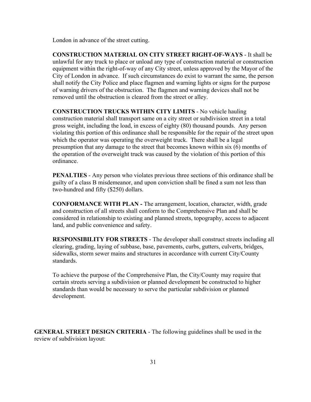London in advance of the street cutting.

**CONSTRUCTION MATERIAL ON CITY STREET RIGHT-OF-WAYS** - It shall be unlawful for any truck to place or unload any type of construction material or construction equipment within the right-of-way of any City street, unless approved by the Mayor of the City of London in advance. If such circumstances do exist to warrant the same, the person shall notify the City Police and place flagmen and warning lights or signs for the purpose of warning drivers of the obstruction. The flagmen and warning devices shall not be removed until the obstruction is cleared from the street or alley.

**CONSTRUCTION TRUCKS WITHIN CITY LIMITS** - No vehicle hauling construction material shall transport same on a city street or subdivision street in a total gross weight, including the load, in excess of eighty (80) thousand pounds. Any person violating this portion of this ordinance shall be responsible for the repair of the street upon which the operator was operating the overweight truck. There shall be a legal presumption that any damage to the street that becomes known within six (6) months of the operation of the overweight truck was caused by the violation of this portion of this ordinance.

**PENALTIES** - Any person who violates previous three sections of this ordinance shall be guilty of a class B misdemeanor, and upon conviction shall be fined a sum not less than two-hundred and fifty (\$250) dollars.

**CONFORMANCE WITH PLAN -** The arrangement, location, character, width, grade and construction of all streets shall conform to the Comprehensive Plan and shall be considered in relationship to existing and planned streets, topography, access to adjacent land, and public convenience and safety.

**RESPONSIBILITY FOR STREETS** - The developer shall construct streets including all clearing, grading, laying of subbase, base, pavements, curbs, gutters, culverts, bridges, sidewalks, storm sewer mains and structures in accordance with current City/County standards.

To achieve the purpose of the Comprehensive Plan, the City/County may require that certain streets serving a subdivision or planned development be constructed to higher standards than would be necessary to serve the particular subdivision or planned development.

**GENERAL STREET DESIGN CRITERIA** - The following guidelines shall be used in the review of subdivision layout: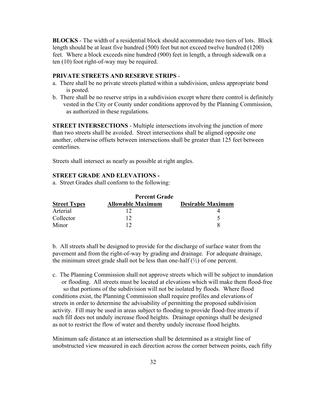**BLOCKS** - The width of a residential block should accommodate two tiers of lots. Block length should be at least five hundred (500) feet but not exceed twelve hundred (1200) feet. Where a block exceeds nine hundred (900) feet in length, a through sidewalk on a ten (10) foot right-of-way may be required.

## **PRIVATE STREETS AND RESERVE STRIPS** -

- a. There shall be no private streets platted within a subdivision, unless appropriate bond is posted.
- b. There shall be no reserve strips in a subdivision except where there control is definitely vested in the City or County under conditions approved by the Planning Commission, as authorized in these regulations.

**STREET INTERSECTIONS** - Multiple intersections involving the junction of more than two streets shall be avoided. Street intersections shall be aligned opposite one another, otherwise offsets between intersections shall be greater than 125 feet between centerlines.

Streets shall intersect as nearly as possible at right angles.

#### **STREET GRADE AND ELEVATIONS -**

a. Street Grades shall conform to the following:

|                     | <b>Percent Grade</b>     |                          |
|---------------------|--------------------------|--------------------------|
| <b>Street Types</b> | <b>Allowable Maximum</b> | <b>Desirable Maximum</b> |
| Arterial            |                          |                          |
| Collector           |                          |                          |
| Minor               |                          |                          |

b. All streets shall be designed to provide for the discharge of surface water from the pavement and from the right-of-way by grading and drainage. For adequate drainage, the minimum street grade shall not be less than one-half  $(\frac{1}{2})$  of one percent.

c. The Planning Commission shall not approve streets which will be subject to inundation or flooding. All streets must be located at elevations which will make them flood-free so that portions of the subdivision will not be isolated by floods. Where flood conditions exist, the Planning Commission shall require profiles and elevations of streets in order to determine the advisability of permitting the proposed subdivision activity. Fill may be used in areas subject to flooding to provide flood-free streets if such fill does not unduly increase flood heights. Drainage openings shall be designed as not to restrict the flow of water and thereby unduly increase flood heights.

Minimum safe distance at an intersection shall be determined as a straight line of unobstructed view measured in each direction across the corner between points, each fifty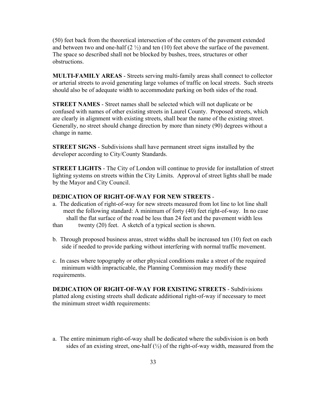(50) feet back from the theoretical intersection of the centers of the pavement extended and between two and one-half  $(2 \frac{1}{2})$  and ten  $(10)$  feet above the surface of the pavement. The space so described shall not be blocked by bushes, trees, structures or other obstructions.

**MULTI-FAMILY AREAS** - Streets serving multi-family areas shall connect to collector or arterial streets to avoid generating large volumes of traffic on local streets. Such streets should also be of adequate width to accommodate parking on both sides of the road.

**STREET NAMES** - Street names shall be selected which will not duplicate or be confused with names of other existing streets in Laurel County. Proposed streets, which are clearly in alignment with existing streets, shall bear the name of the existing street. Generally, no street should change direction by more than ninety (90) degrees without a change in name.

**STREET SIGNS** - Subdivisions shall have permanent street signs installed by the developer according to City/County Standards.

**STREET LIGHTS** - The City of London will continue to provide for installation of street lighting systems on streets within the City Limits. Approval of street lights shall be made by the Mayor and City Council.

## **DEDICATION OF RIGHT-OF-WAY FOR NEW STREETS** -

a. The dedication of right-of-way for new streets measured from lot line to lot line shall meet the following standard: A minimum of forty (40) feet right-of-way. In no case shall the flat surface of the road be less than 24 feet and the pavement width less

than twenty (20) feet. A sketch of a typical section is shown.

- b. Through proposed business areas, street widths shall be increased ten (10) feet on each side if needed to provide parking without interfering with normal traffic movement.
- c. In cases where topography or other physical conditions make a street of the required minimum width impracticable, the Planning Commission may modify these requirements.

**DEDICATION OF RIGHT-OF-WAY FOR EXISTING STREETS** - Subdivisions platted along existing streets shall dedicate additional right-of-way if necessary to meet the minimum street width requirements:

a. The entire minimum right-of-way shall be dedicated where the subdivision is on both sides of an existing street, one-half  $\left(\frac{1}{2}\right)$  of the right-of-way width, measured from the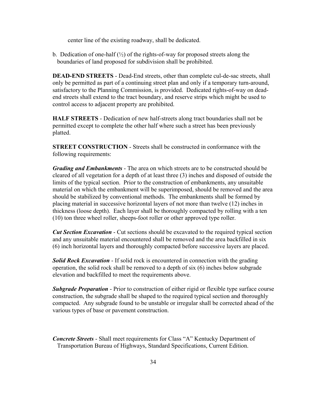center line of the existing roadway, shall be dedicated.

b. Dedication of one-half  $\binom{1}{2}$  of the rights-of-way for proposed streets along the boundaries of land proposed for subdivision shall be prohibited.

**DEAD-END STREETS** - Dead-End streets, other than complete cul-de-sac streets, shall only be permitted as part of a continuing street plan and only if a temporary turn-around, satisfactory to the Planning Commission, is provided. Dedicated rights-of-way on deadend streets shall extend to the tract boundary, and reserve strips which might be used to control access to adjacent property are prohibited.

**HALF STREETS** - Dedication of new half-streets along tract boundaries shall not be permitted except to complete the other half where such a street has been previously platted.

**STREET CONSTRUCTION** - Streets shall be constructed in conformance with the following requirements:

*Grading and Embankments* - The area on which streets are to be constructed should be cleared of all vegetation for a depth of at least three (3) inches and disposed of outside the limits of the typical section. Prior to the construction of embankments, any unsuitable material on which the embankment will be superimposed, should be removed and the area should be stabilized by conventional methods. The embankments shall be formed by placing material in successive horizontal layers of not more than twelve (12) inches in thickness (loose depth). Each layer shall be thoroughly compacted by rolling with a ten (10) ton three wheel roller, sheeps-foot roller or other approved type roller.

*Cut Section Excavation* - Cut sections should be excavated to the required typical section and any unsuitable material encountered shall be removed and the area backfilled in six (6) inch horizontal layers and thoroughly compacted before successive layers are placed.

**Solid Rock Excavation** - If solid rock is encountered in connection with the grading operation, the solid rock shall be removed to a depth of six (6) inches below subgrade elevation and backfilled to meet the requirements above.

*Subgrade Preparation* - Prior to construction of either rigid or flexible type surface course construction, the subgrade shall be shaped to the required typical section and thoroughly compacted. Any subgrade found to be unstable or irregular shall be corrected ahead of the various types of base or pavement construction.

*Concrete Streets* - Shall meet requirements for Class "A" Kentucky Department of Transportation Bureau of Highways, Standard Specifications, Current Edition.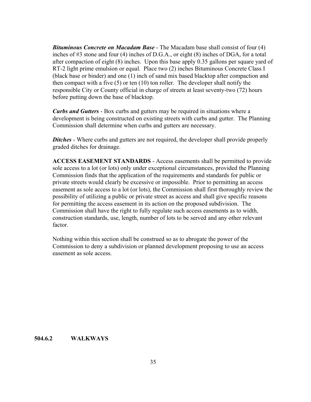*Bituminous Concrete on Macadam Base* - The Macadam base shall consist of four (4) inches of #3 stone and four (4) inches of D.G.A., or eight (8) inches of DGA, for a total after compaction of eight (8) inches. Upon this base apply 0.35 gallons per square yard of RT-2 light prime emulsion or equal. Place two (2) inches Bituminous Concrete Class I (black base or binder) and one (1) inch of sand mix based blacktop after compaction and then compact with a five (5) or ten (10) ton roller. The developer shall notify the responsible City or County official in charge of streets at least seventy-two (72) hours before putting down the base of blacktop.

*Curbs and Gutters* - Box curbs and gutters may be required in situations where a development is being constructed on existing streets with curbs and gutter. The Planning Commission shall determine when curbs and gutters are necessary.

**Ditches** - Where curbs and gutters are not required, the developer shall provide properly graded ditches for drainage.

**ACCESS EASEMENT STANDARDS** - Access easements shall be permitted to provide sole access to a lot (or lots) only under exceptional circumstances, provided the Planning Commission finds that the application of the requirements and standards for public or private streets would clearly be excessive or impossible. Prior to permitting an access easement as sole access to a lot (or lots), the Commission shall first thoroughly review the possibility of utilizing a public or private street as access and shall give specific reasons for permitting the access easement in its action on the proposed subdivision. The Commission shall have the right to fully regulate such access easements as to width, construction standards, use, length, number of lots to be served and any other relevant factor.

Nothing within this section shall be construed so as to abrogate the power of the Commission to deny a subdivision or planned development proposing to use an access easement as sole access.

**504.6.2 WALKWAYS**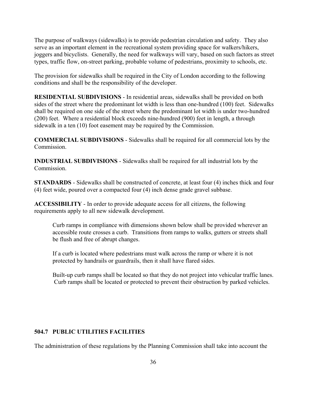The purpose of walkways (sidewalks) is to provide pedestrian circulation and safety. They also serve as an important element in the recreational system providing space for walkers/hikers, joggers and bicyclists. Generally, the need for walkways will vary, based on such factors as street types, traffic flow, on-street parking, probable volume of pedestrians, proximity to schools, etc.

The provision for sidewalks shall be required in the City of London according to the following conditions and shall be the responsibility of the developer.

**RESIDENTIAL SUBDIVISIONS** - In residential areas, sidewalks shall be provided on both sides of the street where the predominant lot width is less than one-hundred (100) feet. Sidewalks shall be required on one side of the street where the predominant lot width is under two-hundred (200) feet. Where a residential block exceeds nine-hundred (900) feet in length, a through sidewalk in a ten (10) foot easement may be required by the Commission.

**COMMERCIAL SUBDIVISIONS** - Sidewalks shall be required for all commercial lots by the **Commission** 

**INDUSTRIAL SUBDIVISIONS** - Sidewalks shall be required for all industrial lots by the Commission.

**STANDARDS** - Sidewalks shall be constructed of concrete, at least four (4) inches thick and four (4) feet wide, poured over a compacted four (4) inch dense grade gravel subbase.

**ACCESSIBILITY** - In order to provide adequate access for all citizens, the following requirements apply to all new sidewalk development.

Curb ramps in compliance with dimensions shown below shall be provided wherever an accessible route crosses a curb. Transitions from ramps to walks, gutters or streets shall be flush and free of abrupt changes.

If a curb is located where pedestrians must walk across the ramp or where it is not protected by handrails or guardrails, then it shall have flared sides.

Built-up curb ramps shall be located so that they do not project into vehicular traffic lanes. Curb ramps shall be located or protected to prevent their obstruction by parked vehicles.

## **504.7 PUBLIC UTILITIES FACILITIES**

The administration of these regulations by the Planning Commission shall take into account the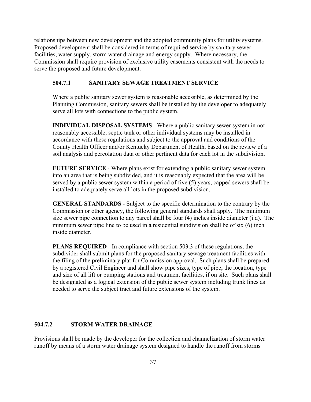relationships between new development and the adopted community plans for utility systems. Proposed development shall be considered in terms of required service by sanitary sewer facilities, water supply, storm water drainage and energy supply. Where necessary, the Commission shall require provision of exclusive utility easements consistent with the needs to serve the proposed and future development.

## **504.7.1 SANITARY SEWAGE TREATMENT SERVICE**

Where a public sanitary sewer system is reasonable accessible, as determined by the Planning Commission, sanitary sewers shall be installed by the developer to adequately serve all lots with connections to the public system.

**INDIVIDUAL DISPOSAL SYSTEMS** - Where a public sanitary sewer system in not reasonably accessible, septic tank or other individual systems may be installed in accordance with these regulations and subject to the approval and conditions of the County Health Officer and/or Kentucky Department of Health, based on the review of a soil analysis and percolation data or other pertinent data for each lot in the subdivision.

**FUTURE SERVICE** - Where plans exist for extending a public sanitary sewer system into an area that is being subdivided, and it is reasonably expected that the area will be served by a public sewer system within a period of five (5) years, capped sewers shall be installed to adequately serve all lots in the proposed subdivision.

**GENERAL STANDARDS** - Subject to the specific determination to the contrary by the Commission or other agency, the following general standards shall apply. The minimum size sewer pipe connection to any parcel shall be four (4) inches inside diameter (i.d). The minimum sewer pipe line to be used in a residential subdivision shall be of six (6) inch inside diameter.

**PLANS REQUIRED** - In compliance with section 503.3 of these regulations, the subdivider shall submit plans for the proposed sanitary sewage treatment facilities with the filing of the preliminary plat for Commission approval. Such plans shall be prepared by a registered Civil Engineer and shall show pipe sizes, type of pipe, the location, type and size of all lift or pumping stations and treatment facilities, if on site. Such plans shall be designated as a logical extension of the public sewer system including trunk lines as needed to serve the subject tract and future extensions of the system.

## **504.7.2 STORM WATER DRAINAGE**

Provisions shall be made by the developer for the collection and channelization of storm water runoff by means of a storm water drainage system designed to handle the runoff from storms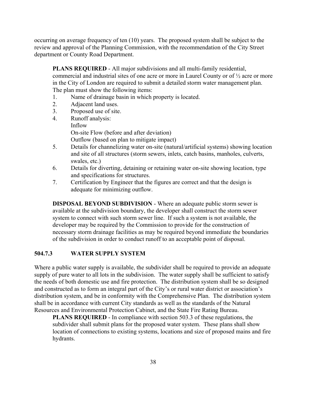occurring on average frequency of ten (10) years. The proposed system shall be subject to the review and approval of the Planning Commission, with the recommendation of the City Street department or County Road Department.

**PLANS REQUIRED** - All major subdivisions and all multi-family residential, commercial and industrial sites of one acre or more in Laurel County or of ½ acre or more in the City of London are required to submit a detailed storm water management plan. The plan must show the following items:

- 1. Name of drainage basin in which property is located.
- 2. Adjacent land uses.
- 3. Proposed use of site.
- 4. Runoff analysis: Inflow On-site Flow (before and after deviation) Outflow (based on plan to mitigate impact)
- 5. Details for channelizing water on-site (natural/artificial systems) showing location and site of all structures (storm sewers, inlets, catch basins, manholes, culverts, swales, etc.)
- 6. Details for diverting, detaining or retaining water on-site showing location, type and specifications for structures.
- 7. Certification by Engineer that the figures are correct and that the design is adequate for minimizing outflow.

**DISPOSAL BEYOND SUBDIVISION** - Where an adequate public storm sewer is available at the subdivision boundary, the developer shall construct the storm sewer system to connect with such storm sewer line. If such a system is not available, the developer may be required by the Commission to provide for the construction of necessary storm drainage facilities as may be required beyond immediate the boundaries of the subdivision in order to conduct runoff to an acceptable point of disposal.

## **504.7.3 WATER SUPPLY SYSTEM**

Where a public water supply is available, the subdivider shall be required to provide an adequate supply of pure water to all lots in the subdivision. The water supply shall be sufficient to satisfy the needs of both domestic use and fire protection. The distribution system shall be so designed and constructed as to form an integral part of the City's or rural water district or association's distribution system, and be in conformity with the Comprehensive Plan. The distribution system shall be in accordance with current City standards as well as the standards of the Natural Resources and Environmental Protection Cabinet, and the State Fire Rating Bureau.

**PLANS REQUIRED** - In compliance with section 503.3 of these regulations, the subdivider shall submit plans for the proposed water system. These plans shall show location of connections to existing systems, locations and size of proposed mains and fire hydrants.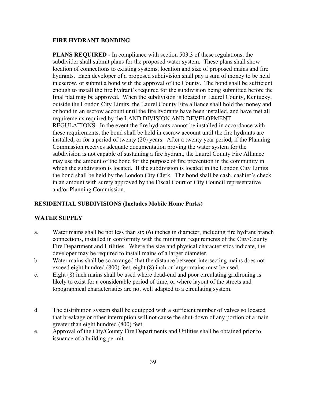#### **FIRE HYDRANT BONDING**

**PLANS REQUIRED** - In compliance with section 503.3 of these regulations, the subdivider shall submit plans for the proposed water system. These plans shall show location of connections to existing systems, location and size of proposed mains and fire hydrants. Each developer of a proposed subdivision shall pay a sum of money to be held in escrow, or submit a bond with the approval of the County. The bond shall be sufficient enough to install the fire hydrant's required for the subdivision being submitted before the final plat may be approved. When the subdivision is located in Laurel County, Kentucky, outside the London City Limits, the Laurel County Fire alliance shall hold the money and or bond in an escrow account until the fire hydrants have been installed, and have met all requirements required by the LAND DIVISION AND DEVELOPMENT REGULATIONS. In the event the fire hydrants cannot be installed in accordance with these requirements, the bond shall be held in escrow account until the fire hydrants are installed, or for a period of twenty (20) years. After a twenty year period, if the Planning Commission receives adequate documentation proving the water system for the subdivision is not capable of sustaining a fire hydrant, the Laurel County Fire Alliance may use the amount of the bond for the purpose of fire prevention in the community in which the subdivision is located. If the subdivision is located in the London City Limits the bond shall be held by the London City Clerk. The bond shall be cash, cashier's check in an amount with surety approved by the Fiscal Court or City Council representative and/or Planning Commission.

## **RESIDENTIAL SUBDIVISIONS (Includes Mobile Home Parks)**

## **WATER SUPPLY**

- a. Water mains shall be not less than six (6) inches in diameter, including fire hydrant branch connections, installed in conformity with the minimum requirements of the City/County Fire Department and Utilities. Where the size and physical characteristics indicate, the developer may be required to install mains of a larger diameter.
- b. Water mains shall be so arranged that the distance between intersecting mains does not exceed eight hundred (800) feet, eight (8) inch or larger mains must be used.
- c. Eight (8) inch mains shall be used where dead-end and poor circulating gridironing is likely to exist for a considerable period of time, or where layout of the streets and topographical characteristics are not well adapted to a circulating system.
- d. The distribution system shall be equipped with a sufficient number of valves so located that breakage or other interruption will not cause the shut-down of any portion of a main greater than eight hundred (800) feet.
- e. Approval of the City/County Fire Departments and Utilities shall be obtained prior to issuance of a building permit.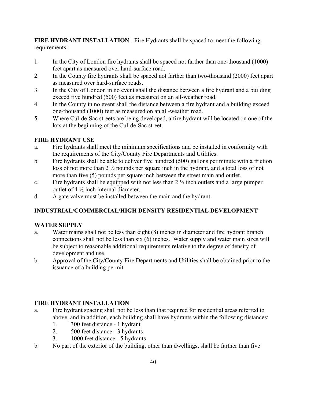**FIRE HYDRANT INSTALLATION** - Fire Hydrants shall be spaced to meet the following requirements:

- 1. In the City of London fire hydrants shall be spaced not farther than one-thousand (1000) feet apart as measured over hard-surface road.
- 2. In the County fire hydrants shall be spaced not farther than two-thousand (2000) feet apart as measured over hard-surface roads.
- 3. In the City of London in no event shall the distance between a fire hydrant and a building exceed five hundred (500) feet as measured on an all-weather road.
- 4. In the County in no event shall the distance between a fire hydrant and a building exceed one-thousand (1000) feet as measured on an all-weather road.
- 5. Where Cul-de-Sac streets are being developed, a fire hydrant will be located on one of the lots at the beginning of the Cul-de-Sac street.

## **FIRE HYDRANT USE**

- a. Fire hydrants shall meet the minimum specifications and be installed in conformity with the requirements of the City/County Fire Departments and Utilities.
- b. Fire hydrants shall be able to deliver five hundred (500) gallons per minute with a friction loss of not more than 2 ½ pounds per square inch in the hydrant, and a total loss of not more than five (5) pounds per square inch between the street main and outlet.
- c. Fire hydrants shall be equipped with not less than  $2\frac{1}{2}$  inch outlets and a large pumper outlet of 4 ½ inch internal diameter.
- d. A gate valve must be installed between the main and the hydrant.

## **INDUSTRIAL/COMMERCIAL/HIGH DENSITY RESIDENTIAL DEVELOPMENT**

## **WATER SUPPLY**

- a. Water mains shall not be less than eight (8) inches in diameter and fire hydrant branch connections shall not be less than six (6) inches. Water supply and water main sizes will be subject to reasonable additional requirements relative to the degree of density of development and use.
- b. Approval of the City/County Fire Departments and Utilities shall be obtained prior to the issuance of a building permit.

## **FIRE HYDRANT INSTALLATION**

- a. Fire hydrant spacing shall not be less than that required for residential areas referred to above, and in addition, each building shall have hydrants within the following distances:
	- 1. 300 feet distance 1 hydrant
	- 2. 500 feet distance 3 hydrants
	- 3. 1000 feet distance 5 hydrants
- b. No part of the exterior of the building, other than dwellings, shall be farther than five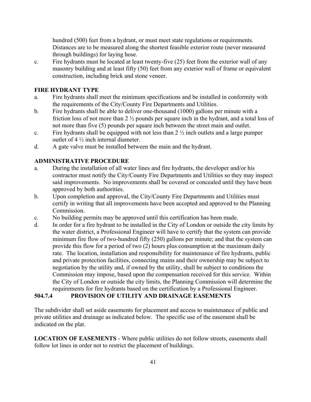hundred (500) feet from a hydrant, or must meet state regulations or requirements. Distances are to be measured along the shortest feasible exterior route (never measured through buildings) for laying hose.

c. Fire hydrants must be located at least twenty-five (25) feet from the exterior wall of any masonry building and at least fifty (50) feet from any exterior wall of frame or equivalent construction, including brick and stone veneer.

## **FIRE HYDRANT TYPE**

- a. Fire hydrants shall meet the minimum specifications and be installed in conformity with the requirements of the City/County Fire Departments and Utilities.
- b. Fire hydrants shall be able to deliver one-thousand (1000) gallons per minute with a friction loss of not more than 2 ½ pounds per square inch in the hydrant, and a total loss of not more than five (5) pounds per square inch between the street main and outlet.
- c. Fire hydrants shall be equipped with not less than  $2\frac{1}{2}$  inch outlets and a large pumper outlet of  $4\frac{1}{2}$  inch internal diameter.
- d. A gate valve must be installed between the main and the hydrant.

## **ADMINISTRATIVE PROCEDURE**

- a. During the installation of all water lines and fire hydrants, the developer and/or his contractor must notify the City/County Fire Departments and Utilities so they may inspect said improvements. No improvements shall be covered or concealed until they have been approved by both authorities.
- b. Upon completion and approval, the City/County Fire Departments and Utilities must certify in writing that all improvements have been accepted and approved to the Planning Commission.
- c. No building permits may be approved until this certification has been made.
- d. In order for a fire hydrant to be installed in the City of London or outside the city limits by the water district, a Professional Engineer will have to certify that the system can provide minimum fire flow of two-hundred fifty (250) gallons per minute; and that the system can provide this flow for a period of two (2) hours plus consumption at the maximum daily rate. The location, installation and responsibility for maintenance of fire hydrants, public and private protection facilities, connecting mains and their ownership may be subject to negotiation by the utility and, if owned by the utility, shall be subject to conditions the Commission may impose, based upon the compensation received for this service. Within the City of London or outside the city limits, the Planning Commission will determine the requirements for fire hydrants based on the certification by a Professional Engineer.

## **504.7.4 PROVISION OF UTILITY AND DRAINAGE EASEMENTS**

The subdivider shall set aside easements for placement and access to maintenance of public and private utilities and drainage as indicated below. The specific use of the easement shall be indicated on the plat.

**LOCATION OF EASEMENTS** - Where public utilities do not follow streets, easements shall follow lot lines in order not to restrict the placement of buildings.